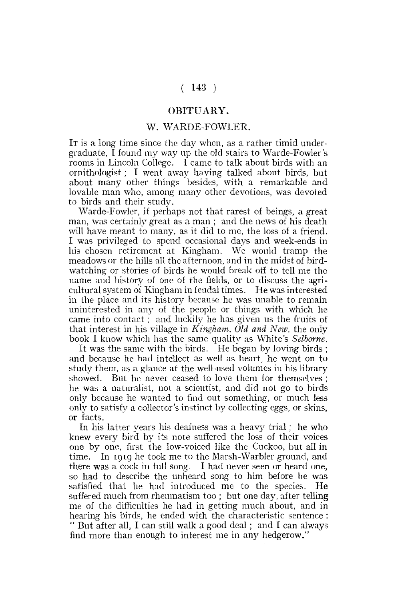## **( 143 )**

## **OBITUARY.**

## **W. WARDE-FOWLER.**

IT is a long time since the day when, as a rather timid undergraduate, I found my way up the old stairs to Warde-Fowler 's rooms in Lincoln College. I came to talk about birds with an ornithologist; I went away having talked about birds, but about many other things besides, with a remarkable and lovable man who, among many other devotions, was devoted to birds and their study.

Warde-Fowler, if perhaps not that rarest of beings, a great man, was certainly great as a man ; and the news of his death will have meant to many, as it did to me, the loss of a friend. I was privileged to spend occasional days and week-ends in his chosen retirement at Kingham. We would tramp the meadows or the hills all the afternoon, and in the midst of birdwatching or stories of birds he would break off to tell me the name and history of one of the fields, or to discuss the agricultural system of Kingham in feudal times. He was interested in the place and its history because he was unable to remain uninterested in any of the people or things with which he came into contact ; and luckily he has given us the fruits of that interest in his village in *Kingham, Old and New,* the only book I know which has the same quality as White's *Selbome.* 

It was the same with the birds. He began by loving birds ; and because he had intellect as well as heart, he went on to study them, as a glance at the well-used volumes in his library showed. But he never ceased to love them for themselves ; he was a naturalist, not a scientist, and did not go to birds only because he wanted to find out something, or much less only to satisfy a collector's instinct by collecting eggs, or skins, or facts.

In his latter years his deafness was a heavy trial; he who knew every bird by its note suffered the loss of their voices one by one, first the low-voiced like the Cuckoo, but all in time. In 1919 he took me to the Marsh-Warbler ground, and there was a cock in full song. I had never seen or heard one, so had to describe the unheard song to him before he was satisfied that he had introduced me to the species. He suffered much from rheumatism too; but one day, after telling me of the difficulties he had in getting much about, and in hearing his birds, he ended with the characteristic sentence : " But after all, I can still walk a good deal ; and I can always find more than enough to interest me in any hedgerow."